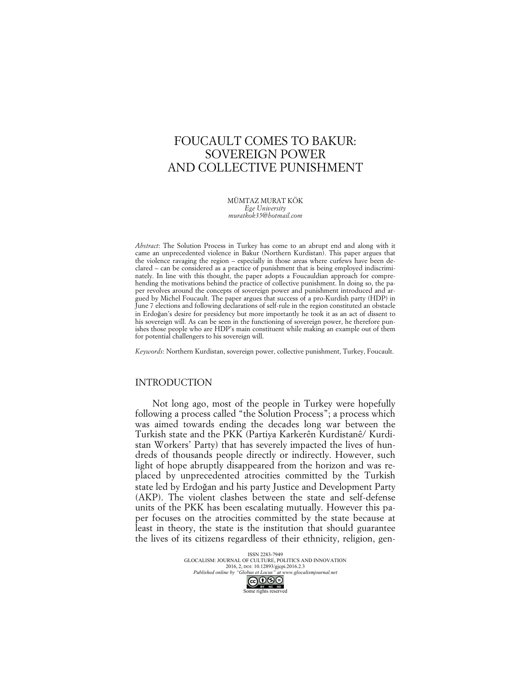# FOUCAULT COMES TO BAKUR: SOVEREIGN POWER AND COLLECTIVE PUNISHMENT

MÜMTAZ MURAT KÖK *Ege University muratkok35@hotmail.com*

*Abstract*: The Solution Process in Turkey has come to an abrupt end and along with it came an unprecedented violence in Bakur (Northern Kurdistan). This paper argues that the violence ravaging the region – especially in those areas where curfews have been declared – can be considered as a practice of punishment that is being employed indiscriminately. In line with this thought, the paper adopts a Foucauldian approach for comprehending the motivations behind the practice of collective punishment. In doing so, the paper revolves around the concepts of sovereign power and punishment introduced and argued by Michel Foucault. The paper argues that success of a pro-Kurdish party (HDP) in June 7 elections and following declarations of self-rule in the region constituted an obstacle in Erdoğan's desire for presidency but more importantly he took it as an act of dissent to his sovereign will. As can be seen in the functioning of sovereign power, he therefore punishes those people who are HDP's main constituent while making an example out of them for potential challengers to his sovereign will.

*Keywords*: Northern Kurdistan, sovereign power, collective punishment, Turkey, Foucault.

## INTRODUCTION

Not long ago, most of the people in Turkey were hopefully following a process called "the Solution Process"; a process which was aimed towards ending the decades long war between the Turkish state and the PKK (Partiya Karkerên Kurdistanê/ Kurdistan Workers' Party) that has severely impacted the lives of hundreds of thousands people directly or indirectly. However, such light of hope abruptly disappeared from the horizon and was replaced by unprecedented atrocities committed by the Turkish state led by Erdoğan and his party Justice and Development Party (AKP). The violent clashes between the state and self-defense units of the PKK has been escalating mutually. However this paper focuses on the atrocities committed by the state because at least in theory, the state is the institution that should guarantee the lives of its citizens regardless of their ethnicity, religion, gen-

> ISSN 2283-7949 GLOCALISM: JOURNAL OF CULTURE, POLITICS AND INNOVATION 2016, 2, DOI: 10.12893/gjcpi.2016.2.3<br>ne by "Globus et Locus" at www.glocalismjournal.net *Published online by "Globus et Locus" at www.glocalismiguenomegy of the space definition* Some rights reserved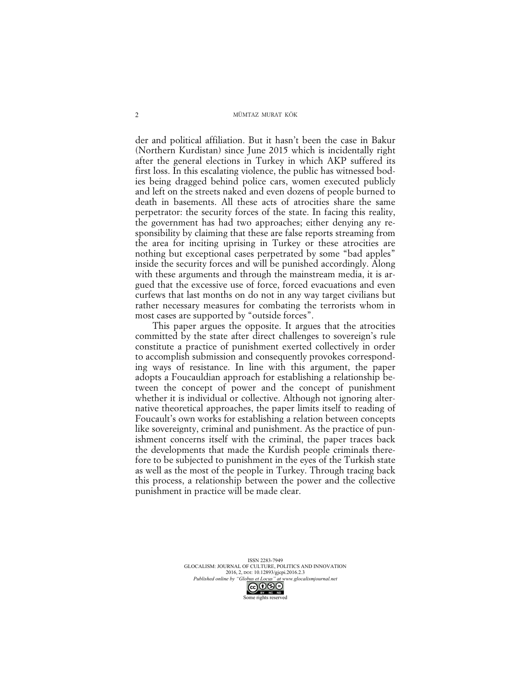der and political affiliation. But it hasn't been the case in Bakur (Northern Kurdistan) since June 2015 which is incidentally right after the general elections in Turkey in which AKP suffered its first loss. In this escalating violence, the public has witnessed bodies being dragged behind police cars, women executed publicly and left on the streets naked and even dozens of people burned to death in basements. All these acts of atrocities share the same perpetrator: the security forces of the state. In facing this reality, the government has had two approaches; either denying any responsibility by claiming that these are false reports streaming from the area for inciting uprising in Turkey or these atrocities are nothing but exceptional cases perpetrated by some "bad apples" inside the security forces and will be punished accordingly. Along with these arguments and through the mainstream media, it is argued that the excessive use of force, forced evacuations and even curfews that last months on do not in any way target civilians but rather necessary measures for combating the terrorists whom in most cases are supported by "outside forces".

This paper argues the opposite. It argues that the atrocities committed by the state after direct challenges to sovereign's rule constitute a practice of punishment exerted collectively in order to accomplish submission and consequently provokes corresponding ways of resistance. In line with this argument, the paper adopts a Foucauldian approach for establishing a relationship between the concept of power and the concept of punishment whether it is individual or collective. Although not ignoring alternative theoretical approaches, the paper limits itself to reading of Foucault's own works for establishing a relation between concepts like sovereignty, criminal and punishment. As the practice of punishment concerns itself with the criminal, the paper traces back the developments that made the Kurdish people criminals therefore to be subjected to punishment in the eyes of the Turkish state as well as the most of the people in Turkey. Through tracing back this process, a relationship between the power and the collective punishment in practice will be made clear.

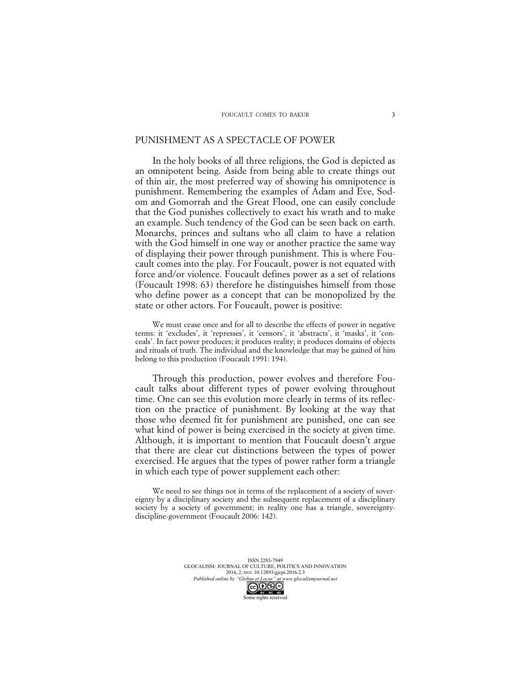### PUNISHMENT AS A SPECTACLE OF POWER

In the holy books of all three religions, the God is depicted as an omnipotent being. Aside from being able to create things out of thin air, the most preferred way of showing his omnipotence is punishment. Remembering the examples of Adam and Eve, Sodom and Gomorrah and the Great Flood, one can easily conclude that the God punishes collectively to exact his wrath and to make an example. Such tendency of the God can be seen back on earth. Monarchs, princes and sultans who all claim to have a relation with the God himself in one way or another practice the same way of displaying their power through punishment. This is where Foucault comes into the play. For Foucault, power is not equated with force and/or violence. Foucault defines power as a set of relations (Foucault 1998: 63) therefore he distinguishes himself from those who define power as a concept that can be monopolized by the state or other actors. For Foucault, power is positive:

We must cease once and for all to describe the effects of power in negative terms: it 'excludes', it 'represses', it 'censors', it 'abstracts', it 'masks', it 'conceals'. In fact power produces; it produces reality; it produces domains of objects and rituals of truth. The individual and the knowledge that may be gained of him belong to this production (Foucault 1991: 194).

Through this production, power evolves and therefore Foucault talks about different types of power evolving throughout time. One can see this evolution more clearly in terms of its reflection on the practice of punishment. By looking at the way that those who deemed fit for punishment are punished, one can see what kind of power is being exercised in the society at given time. Although, it is important to mention that Foucault doesn't argue that there are clear cut distinctions between the types of power exercised. He argues that the types of power rather form a triangle in which each type of power supplement each other:

We need to see things not in terms of the replacement of a society of sovereignty by a disciplinary society and the subsequent replacement of a disciplinary society by a society of government; in reality one has a triangle, sovereigntydiscipline-government (Foucault 2006: 142).

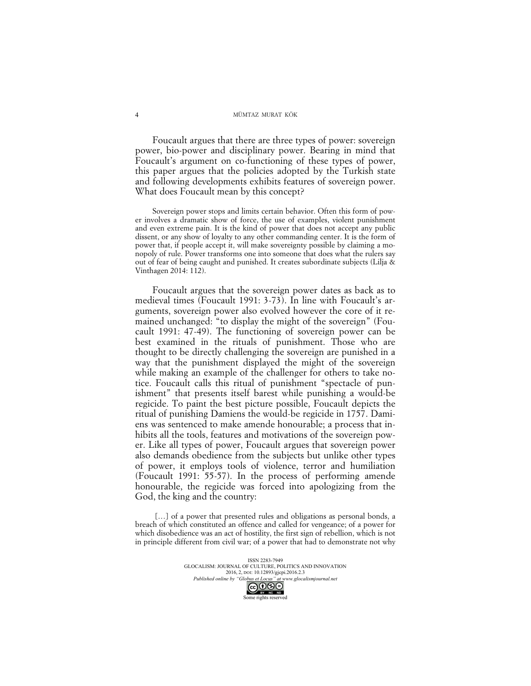Foucault argues that there are three types of power: sovereign power, bio-power and disciplinary power. Bearing in mind that Foucault's argument on co-functioning of these types of power, this paper argues that the policies adopted by the Turkish state and following developments exhibits features of sovereign power. What does Foucault mean by this concept?

Sovereign power stops and limits certain behavior. Often this form of power involves a dramatic show of force, the use of examples, violent punishment and even extreme pain. It is the kind of power that does not accept any public dissent, or any show of loyalty to any other commanding center. It is the form of power that, if people accept it, will make sovereignty possible by claiming a monopoly of rule. Power transforms one into someone that does what the rulers say out of fear of being caught and punished. It creates subordinate subjects (Lilja & Vinthagen 2014: 112).

Foucault argues that the sovereign power dates as back as to medieval times (Foucault 1991: 3-73). In line with Foucault's arguments, sovereign power also evolved however the core of it remained unchanged: "to display the might of the sovereign" (Foucault 1991: 47-49). The functioning of sovereign power can be best examined in the rituals of punishment. Those who are thought to be directly challenging the sovereign are punished in a way that the punishment displayed the might of the sovereign while making an example of the challenger for others to take notice. Foucault calls this ritual of punishment "spectacle of punishment" that presents itself barest while punishing a would-be regicide. To paint the best picture possible, Foucault depicts the ritual of punishing Damiens the would-be regicide in 1757. Damiens was sentenced to make amende honourable; a process that inhibits all the tools, features and motivations of the sovereign power. Like all types of power, Foucault argues that sovereign power also demands obedience from the subjects but unlike other types of power, it employs tools of violence, terror and humiliation (Foucault 1991: 55-57). In the process of performing amende honourable, the regicide was forced into apologizing from the God, the king and the country:

[...] of a power that presented rules and obligations as personal bonds, a breach of which constituted an offence and called for vengeance; of a power for which disobedience was an act of hostility, the first sign of rebellion, which is not in principle different from civil war; of a power that had to demonstrate not why

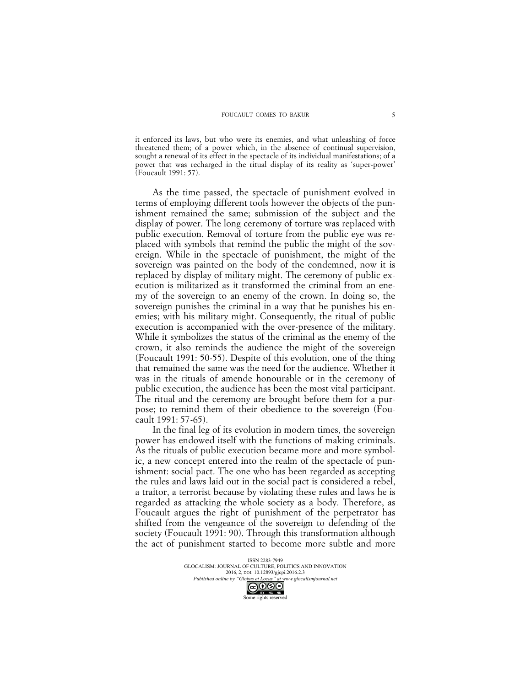it enforced its laws, but who were its enemies, and what unleashing of force threatened them; of a power which, in the absence of continual supervision, sought a renewal of its effect in the spectacle of its individual manifestations; of a power that was recharged in the ritual display of its reality as 'super-power' (Foucault 1991: 57).

As the time passed, the spectacle of punishment evolved in terms of employing different tools however the objects of the punishment remained the same; submission of the subject and the display of power. The long ceremony of torture was replaced with public execution. Removal of torture from the public eye was replaced with symbols that remind the public the might of the sovereign. While in the spectacle of punishment, the might of the sovereign was painted on the body of the condemned, now it is replaced by display of military might. The ceremony of public execution is militarized as it transformed the criminal from an enemy of the sovereign to an enemy of the crown. In doing so, the sovereign punishes the criminal in a way that he punishes his enemies; with his military might. Consequently, the ritual of public execution is accompanied with the over-presence of the military. While it symbolizes the status of the criminal as the enemy of the crown, it also reminds the audience the might of the sovereign (Foucault 1991: 50-55). Despite of this evolution, one of the thing that remained the same was the need for the audience. Whether it was in the rituals of amende honourable or in the ceremony of public execution, the audience has been the most vital participant. The ritual and the ceremony are brought before them for a purpose; to remind them of their obedience to the sovereign (Foucault 1991: 57-65).

In the final leg of its evolution in modern times, the sovereign power has endowed itself with the functions of making criminals. As the rituals of public execution became more and more symbolic, a new concept entered into the realm of the spectacle of punishment: social pact. The one who has been regarded as accepting the rules and laws laid out in the social pact is considered a rebel, a traitor, a terrorist because by violating these rules and laws he is regarded as attacking the whole society as a body. Therefore, as Foucault argues the right of punishment of the perpetrator has shifted from the vengeance of the sovereign to defending of the society (Foucault 1991: 90). Through this transformation although the act of punishment started to become more subtle and more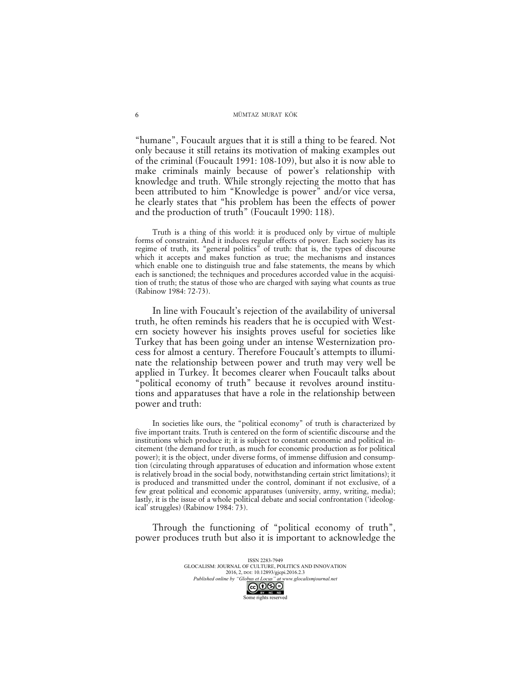"humane", Foucault argues that it is still a thing to be feared. Not only because it still retains its motivation of making examples out of the criminal (Foucault 1991: 108-109), but also it is now able to make criminals mainly because of power's relationship with knowledge and truth. While strongly rejecting the motto that has been attributed to him "Knowledge is power" and/or vice versa, he clearly states that "his problem has been the effects of power and the production of truth" (Foucault 1990: 118).

Truth is a thing of this world: it is produced only by virtue of multiple forms of constraint. And it induces regular effects of power. Each society has its regime of truth, its "general politics" of truth: that is, the types of discourse which it accepts and makes function as true; the mechanisms and instances which enable one to distinguish true and false statements, the means by which each is sanctioned; the techniques and procedures accorded value in the acquisition of truth; the status of those who are charged with saying what counts as true (Rabinow 1984: 72-73).

In line with Foucault's rejection of the availability of universal truth, he often reminds his readers that he is occupied with Western society however his insights proves useful for societies like Turkey that has been going under an intense Westernization process for almost a century. Therefore Foucault's attempts to illuminate the relationship between power and truth may very well be applied in Turkey. It becomes clearer when Foucault talks about "political economy of truth" because it revolves around institutions and apparatuses that have a role in the relationship between power and truth:

In societies like ours, the "political economy" of truth is characterized by five important traits. Truth is centered on the form of scientific discourse and the institutions which produce it; it is subject to constant economic and political incitement (the demand for truth, as much for economic production as for political power); it is the object, under diverse forms, of immense diffusion and consumption (circulating through apparatuses of education and information whose extent is relatively broad in the social body, notwithstanding certain strict limitations); it is produced and transmitted under the control, dominant if not exclusive, of a few great political and economic apparatuses (university, army, writing, media); lastly, it is the issue of a whole political debate and social confrontation ('ideological' struggles) (Rabinow 1984: 73).

Through the functioning of "political economy of truth", power produces truth but also it is important to acknowledge the

> ISSN 2283-7949 GLOCALISM: JOURNAL OF CULTURE, POLITICS AND INNOVATION 2016, 2, DOI: 10.12893/gjcpi.2016.2.3 *Published online by "Globus et Locus" at www.glocalismjournal.net*

6

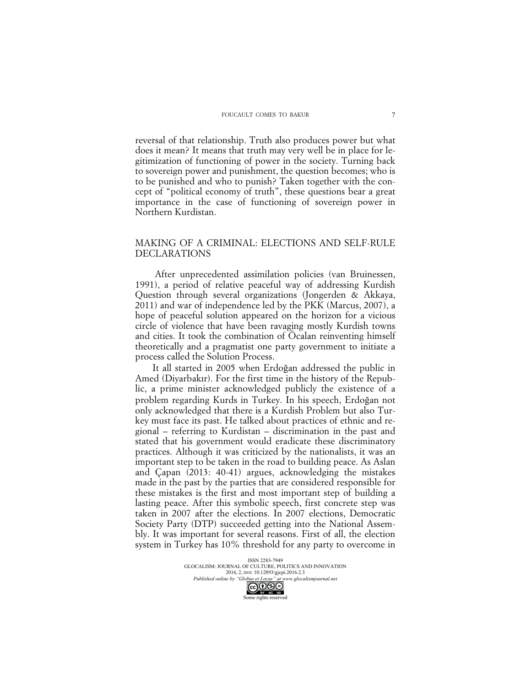reversal of that relationship. Truth also produces power but what does it mean? It means that truth may very well be in place for legitimization of functioning of power in the society. Turning back to sovereign power and punishment, the question becomes; who is to be punished and who to punish? Taken together with the concept of "political economy of truth", these questions bear a great importance in the case of functioning of sovereign power in Northern Kurdistan.

# MAKING OF A CRIMINAL: ELECTIONS AND SELF-RULE DECLARATIONS

After unprecedented assimilation policies (van Bruinessen, 1991), a period of relative peaceful way of addressing Kurdish Question through several organizations (Jongerden & Akkaya, 2011) and war of independence led by the PKK (Marcus, 2007), a hope of peaceful solution appeared on the horizon for a vicious circle of violence that have been ravaging mostly Kurdish towns and cities. It took the combination of Ocalan reinventing himself theoretically and a pragmatist one party government to initiate a process called the Solution Process.

It all started in 2005 when Erdoğan addressed the public in Amed (Diyarbakır). For the first time in the history of the Republic, a prime minister acknowledged publicly the existence of a problem regarding Kurds in Turkey. In his speech, Erdoğan not only acknowledged that there is a Kurdish Problem but also Turkey must face its past. He talked about practices of ethnic and regional – referring to Kurdistan – discrimination in the past and stated that his government would eradicate these discriminatory practices. Although it was criticized by the nationalists, it was an important step to be taken in the road to building peace. As Aslan and Çapan (2013: 40-41) argues, acknowledging the mistakes made in the past by the parties that are considered responsible for these mistakes is the first and most important step of building a lasting peace. After this symbolic speech, first concrete step was taken in 2007 after the elections. In 2007 elections, Democratic Society Party (DTP) succeeded getting into the National Assembly. It was important for several reasons. First of all, the election system in Turkey has 10% threshold for any party to overcome in

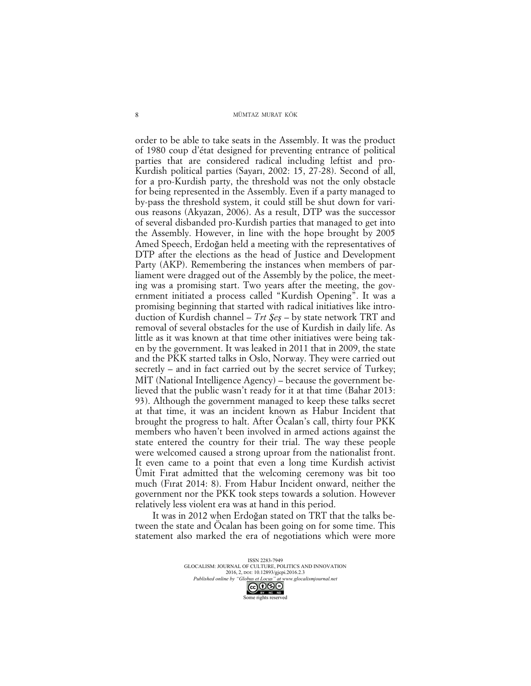order to be able to take seats in the Assembly. It was the product of 1980 coup d'état designed for preventing entrance of political parties that are considered radical including leftist and pro-Kurdish political parties (Sayarı, 2002: 15, 27-28). Second of all, for a pro-Kurdish party, the threshold was not the only obstacle for being represented in the Assembly. Even if a party managed to by-pass the threshold system, it could still be shut down for various reasons (Akyazan, 2006). As a result, DTP was the successor of several disbanded pro-Kurdish parties that managed to get into the Assembly. However, in line with the hope brought by 2005 Amed Speech, Erdoğan held a meeting with the representatives of DTP after the elections as the head of Justice and Development Party (AKP). Remembering the instances when members of parliament were dragged out of the Assembly by the police, the meeting was a promising start. Two years after the meeting, the government initiated a process called "Kurdish Opening". It was a promising beginning that started with radical initiatives like introduction of Kurdish channel – *Trt Şeş* – by state network TRT and removal of several obstacles for the use of Kurdish in daily life. As little as it was known at that time other initiatives were being taken by the government. It was leaked in 2011 that in 2009, the state and the PKK started talks in Oslo, Norway. They were carried out secretly – and in fact carried out by the secret service of Turkey; MİT (National Intelligence Agency) – because the government believed that the public wasn't ready for it at that time (Bahar 2013: 93). Although the government managed to keep these talks secret at that time, it was an incident known as Habur Incident that brought the progress to halt. After Öcalan's call, thirty four PKK members who haven't been involved in armed actions against the state entered the country for their trial. The way these people were welcomed caused a strong uproar from the nationalist front. It even came to a point that even a long time Kurdish activist Ümit Fırat admitted that the welcoming ceremony was bit too much (Fırat 2014: 8). From Habur Incident onward, neither the government nor the PKK took steps towards a solution. However relatively less violent era was at hand in this period.

It was in 2012 when Erdoğan stated on TRT that the talks between the state and Öcalan has been going on for some time. This statement also marked the era of negotiations which were more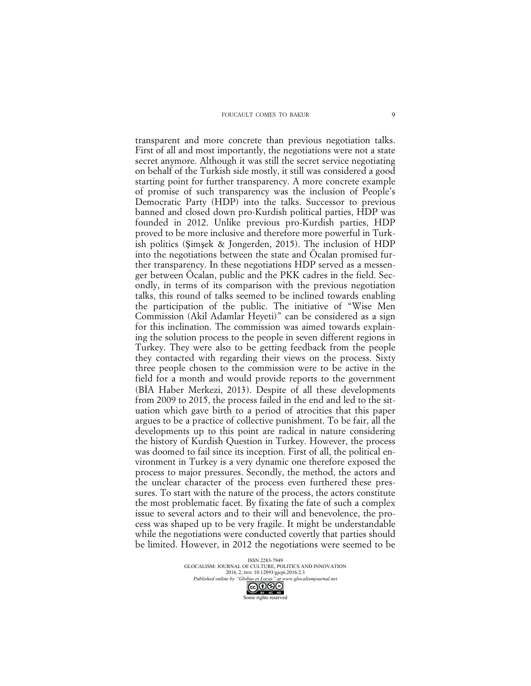#### FOUCAULT COMES TO BAKUR

transparent and more concrete than previous negotiation talks. First of all and most importantly, the negotiations were not a state secret anymore. Although it was still the secret service negotiating on behalf of the Turkish side mostly, it still was considered a good starting point for further transparency. A more concrete example of promise of such transparency was the inclusion of People's Democratic Party (HDP) into the talks. Successor to previous banned and closed down pro-Kurdish political parties, HDP was founded in 2012. Unlike previous pro-Kurdish parties, HDP proved to be more inclusive and therefore more powerful in Turkish politics (Şimşek & Jongerden, 2015). The inclusion of HDP into the negotiations between the state and Öcalan promised further transparency. In these negotiations HDP served as a messenger between Öcalan, public and the PKK cadres in the field. Secondly, in terms of its comparison with the previous negotiation talks, this round of talks seemed to be inclined towards enabling the participation of the public. The initiative of "Wise Men Commission (Akil Adamlar Heyeti)" can be considered as a sign for this inclination. The commission was aimed towards explaining the solution process to the people in seven different regions in Turkey. They were also to be getting feedback from the people they contacted with regarding their views on the process. Sixty three people chosen to the commission were to be active in the field for a month and would provide reports to the government (BİA Haber Merkezi, 2013). Despite of all these developments from 2009 to 2015, the process failed in the end and led to the situation which gave birth to a period of atrocities that this paper argues to be a practice of collective punishment. To be fair, all the developments up to this point are radical in nature considering the history of Kurdish Question in Turkey. However, the process was doomed to fail since its inception. First of all, the political environment in Turkey is a very dynamic one therefore exposed the process to major pressures. Secondly, the method, the actors and the unclear character of the process even furthered these pressures. To start with the nature of the process, the actors constitute the most problematic facet. By fixating the fate of such a complex issue to several actors and to their will and benevolence, the process was shaped up to be very fragile. It might be understandable while the negotiations were conducted covertly that parties should be limited. However, in 2012 the negotiations were seemed to be

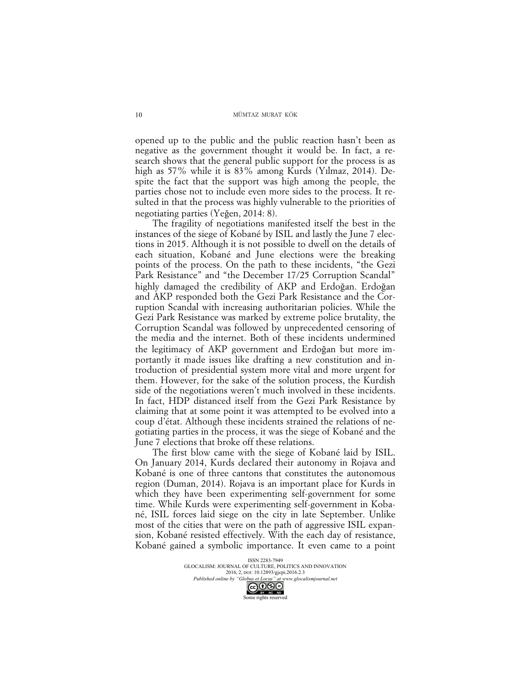opened up to the public and the public reaction hasn't been as negative as the government thought it would be. In fact, a research shows that the general public support for the process is as high as 57% while it is 83% among Kurds (Yılmaz, 2014). Despite the fact that the support was high among the people, the parties chose not to include even more sides to the process. It resulted in that the process was highly vulnerable to the priorities of negotiating parties (Yeğen, 2014: 8).

The fragility of negotiations manifested itself the best in the instances of the siege of Kobané by ISIL and lastly the June 7 elections in 2015. Although it is not possible to dwell on the details of each situation, Kobané and June elections were the breaking points of the process. On the path to these incidents, "the Gezi Park Resistance" and "the December 17/25 Corruption Scandal" highly damaged the credibility of AKP and Erdoğan. Erdoğan and AKP responded both the Gezi Park Resistance and the Corruption Scandal with increasing authoritarian policies. While the Gezi Park Resistance was marked by extreme police brutality, the Corruption Scandal was followed by unprecedented censoring of the media and the internet. Both of these incidents undermined the legitimacy of AKP government and Erdoğan but more importantly it made issues like drafting a new constitution and introduction of presidential system more vital and more urgent for them. However, for the sake of the solution process, the Kurdish side of the negotiations weren't much involved in these incidents. In fact, HDP distanced itself from the Gezi Park Resistance by claiming that at some point it was attempted to be evolved into a coup d'état. Although these incidents strained the relations of negotiating parties in the process, it was the siege of Kobané and the June 7 elections that broke off these relations.

The first blow came with the siege of Kobané laid by ISIL. On January 2014, Kurds declared their autonomy in Rojava and Kobané is one of three cantons that constitutes the autonomous region (Duman, 2014). Rojava is an important place for Kurds in which they have been experimenting self-government for some time. While Kurds were experimenting self-government in Kobané, ISIL forces laid siege on the city in late September. Unlike most of the cities that were on the path of aggressive ISIL expansion, Kobané resisted effectively. With the each day of resistance, Kobané gained a symbolic importance. It even came to a point

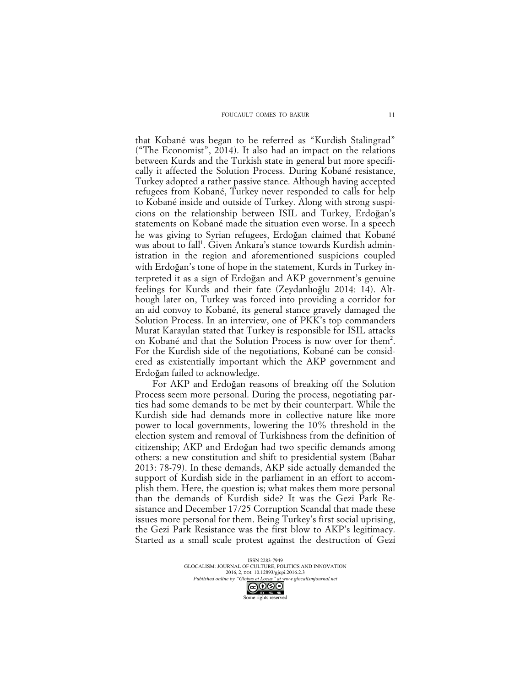that Kobané was began to be referred as "Kurdish Stalingrad" ("The Economist", 2014). It also had an impact on the relations between Kurds and the Turkish state in general but more specifically it affected the Solution Process. During Kobané resistance, Turkey adopted a rather passive stance. Although having accepted refugees from Kobané, Turkey never responded to calls for help to Kobané inside and outside of Turkey. Along with strong suspicions on the relationship between ISIL and Turkey, Erdoğan's statements on Kobané made the situation even worse. In a speech he was giving to Syrian refugees, Erdoğan claimed that Kobané was about to fall<sup>1</sup>. Given Ankara's stance towards Kurdish administration in the region and aforementioned suspicions coupled with Erdoğan's tone of hope in the statement, Kurds in Turkey interpreted it as a sign of Erdoğan and AKP government's genuine feelings for Kurds and their fate (Zeydanlıoğlu 2014: 14). Although later on, Turkey was forced into providing a corridor for an aid convoy to Kobané, its general stance gravely damaged the Solution Process. In an interview, one of PKK's top commanders Murat Karayılan stated that Turkey is responsible for ISIL attacks on Kobané and that the Solution Process is now over for them<sup>2</sup> . For the Kurdish side of the negotiations, Kobané can be considered as existentially important which the AKP government and Erdoğan failed to acknowledge.

For AKP and Erdoğan reasons of breaking off the Solution Process seem more personal. During the process, negotiating parties had some demands to be met by their counterpart. While the Kurdish side had demands more in collective nature like more power to local governments, lowering the 10% threshold in the election system and removal of Turkishness from the definition of citizenship; AKP and Erdoğan had two specific demands among others: a new constitution and shift to presidential system (Bahar 2013: 78-79). In these demands, AKP side actually demanded the support of Kurdish side in the parliament in an effort to accomplish them. Here, the question is; what makes them more personal than the demands of Kurdish side? It was the Gezi Park Resistance and December 17/25 Corruption Scandal that made these issues more personal for them. Being Turkey's first social uprising, the Gezi Park Resistance was the first blow to AKP's legitimacy. Started as a small scale protest against the destruction of Gezi

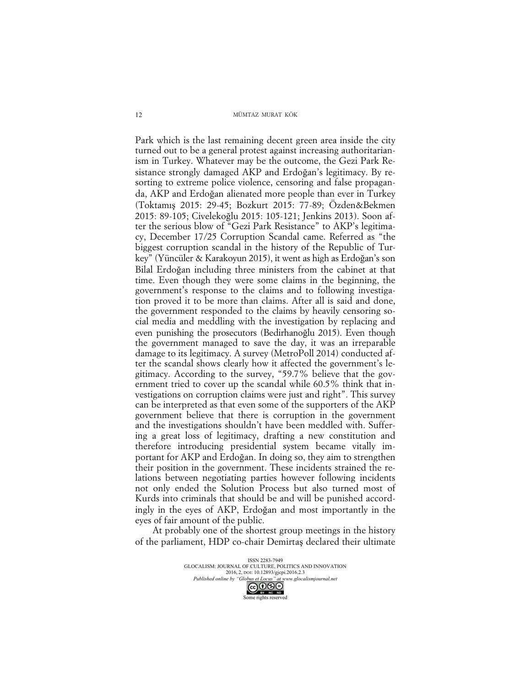Park which is the last remaining decent green area inside the city turned out to be a general protest against increasing authoritarianism in Turkey. Whatever may be the outcome, the Gezi Park Resistance strongly damaged AKP and Erdoğan's legitimacy. By resorting to extreme police violence, censoring and false propaganda, AKP and Erdoğan alienated more people than ever in Turkey (Toktamış 2015: 29-45; Bozkurt 2015: 77-89; Özden&Bekmen 2015: 89-105; Civelekoğlu 2015: 105-121; Jenkins 2013). Soon after the serious blow of "Gezi Park Resistance" to AKP's legitimacy, December 17/25 Corruption Scandal came. Referred as "the biggest corruption scandal in the history of the Republic of Turkey" (Yüncüler & Karakoyun 2015), it went as high as Erdoğan's son Bilal Erdoğan including three ministers from the cabinet at that time. Even though they were some claims in the beginning, the government's response to the claims and to following investigation proved it to be more than claims. After all is said and done, the government responded to the claims by heavily censoring social media and meddling with the investigation by replacing and even punishing the prosecutors (Bedirhanoğlu 2015). Even though the government managed to save the day, it was an irreparable damage to its legitimacy. A survey (MetroPoll 2014) conducted after the scandal shows clearly how it affected the government's legitimacy. According to the survey, "59.7% believe that the government tried to cover up the scandal while 60.5% think that investigations on corruption claims were just and right". This survey can be interpreted as that even some of the supporters of the AKP government believe that there is corruption in the government and the investigations shouldn't have been meddled with. Suffering a great loss of legitimacy, drafting a new constitution and therefore introducing presidential system became vitally important for AKP and Erdoğan. In doing so, they aim to strengthen their position in the government. These incidents strained the relations between negotiating parties however following incidents not only ended the Solution Process but also turned most of Kurds into criminals that should be and will be punished accordingly in the eyes of AKP, Erdoğan and most importantly in the eyes of fair amount of the public.

At probably one of the shortest group meetings in the history of the parliament, HDP co-chair Demirtaş declared their ultimate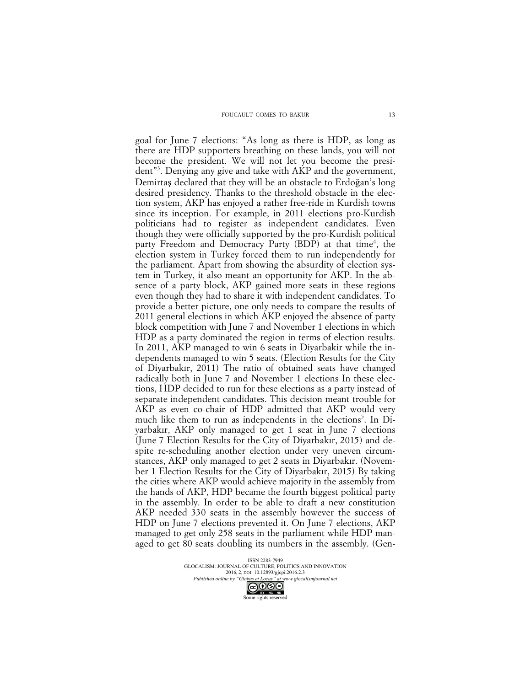goal for June 7 elections: "As long as there is HDP, as long as there are HDP supporters breathing on these lands, you will not become the president. We will not let you become the president"<sup>3</sup> . Denying any give and take with AKP and the government, Demirtaş declared that they will be an obstacle to Erdoğan's long desired presidency. Thanks to the threshold obstacle in the election system, AKP has enjoyed a rather free-ride in Kurdish towns since its inception. For example, in 2011 elections pro-Kurdish politicians had to register as independent candidates. Even though they were officially supported by the pro-Kurdish political party Freedom and Democracy Party (BDP) at that time<sup>4</sup>, the election system in Turkey forced them to run independently for the parliament. Apart from showing the absurdity of election system in Turkey, it also meant an opportunity for AKP. In the absence of a party block, AKP gained more seats in these regions even though they had to share it with independent candidates. To provide a better picture, one only needs to compare the results of 2011 general elections in which AKP enjoyed the absence of party block competition with June 7 and November 1 elections in which HDP as a party dominated the region in terms of election results. In 2011, AKP managed to win 6 seats in Diyarbakir while the independents managed to win 5 seats. (Election Results for the City of Diyarbakır, 2011) The ratio of obtained seats have changed radically both in June 7 and November 1 elections In these elections, HDP decided to run for these elections as a party instead of separate independent candidates. This decision meant trouble for AKP as even co-chair of HDP admitted that AKP would very much like them to run as independents in the elections<sup>5</sup>. In Diyarbakır, AKP only managed to get 1 seat in June 7 elections (June 7 Election Results for the City of Diyarbakır, 2015) and despite re-scheduling another election under very uneven circumstances, AKP only managed to get 2 seats in Diyarbakır. (November 1 Election Results for the City of Diyarbakır, 2015) By taking the cities where AKP would achieve majority in the assembly from the hands of AKP, HDP became the fourth biggest political party in the assembly. In order to be able to draft a new constitution AKP needed 330 seats in the assembly however the success of HDP on June 7 elections prevented it. On June 7 elections, AKP managed to get only 258 seats in the parliament while HDP managed to get 80 seats doubling its numbers in the assembly. (Gen-

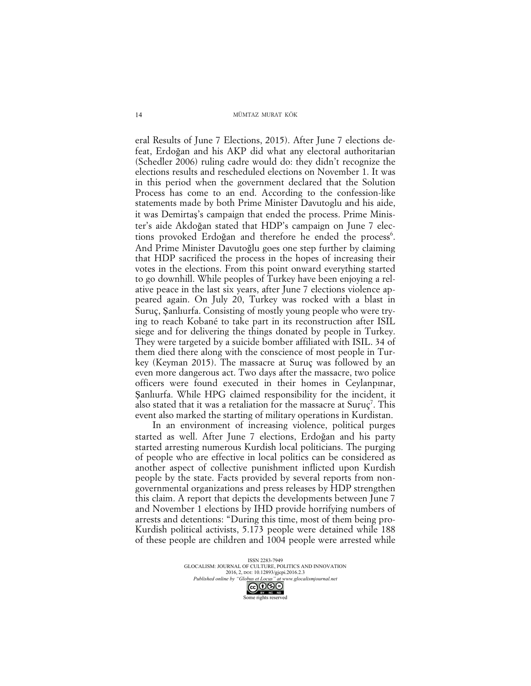eral Results of June 7 Elections, 2015). After June 7 elections defeat, Erdoğan and his AKP did what any electoral authoritarian (Schedler 2006) ruling cadre would do: they didn't recognize the elections results and rescheduled elections on November 1. It was in this period when the government declared that the Solution Process has come to an end. According to the confession-like statements made by both Prime Minister Davutoglu and his aide, it was Demirtaş's campaign that ended the process. Prime Minister's aide Akdoğan stated that HDP's campaign on June 7 elections provoked Erdoğan and therefore he ended the process<sup>6</sup>. And Prime Minister Davutoğlu goes one step further by claiming that HDP sacrificed the process in the hopes of increasing their votes in the elections. From this point onward everything started to go downhill. While peoples of Turkey have been enjoying a relative peace in the last six years, after June 7 elections violence appeared again. On July 20, Turkey was rocked with a blast in Suruç, Şanlıurfa. Consisting of mostly young people who were trying to reach Kobané to take part in its reconstruction after ISIL siege and for delivering the things donated by people in Turkey. They were targeted by a suicide bomber affiliated with ISIL. 34 of them died there along with the conscience of most people in Turkey (Keyman 2015). The massacre at Suruç was followed by an even more dangerous act. Two days after the massacre, two police officers were found executed in their homes in Ceylanpınar, Şanlıurfa. While HPG claimed responsibility for the incident, it also stated that it was a retaliation for the massacre at Suruç<sup>7</sup>. This event also marked the starting of military operations in Kurdistan.

In an environment of increasing violence, political purges started as well. After June 7 elections, Erdoğan and his party started arresting numerous Kurdish local politicians. The purging of people who are effective in local politics can be considered as another aspect of collective punishment inflicted upon Kurdish people by the state. Facts provided by several reports from nongovernmental organizations and press releases by HDP strengthen this claim. A report that depicts the developments between June 7 and November 1 elections by IHD provide horrifying numbers of arrests and detentions: "During this time, most of them being pro-Kurdish political activists, 5.173 people were detained while 188 of these people are children and 1004 people were arrested while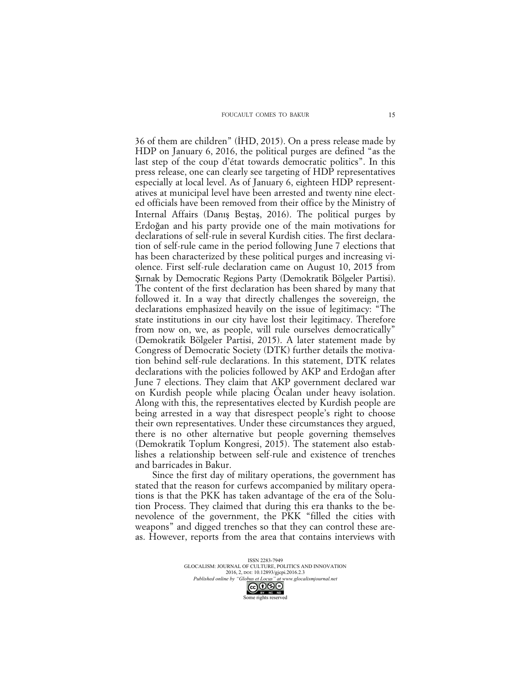36 of them are children" (İHD, 2015). On a press release made by HDP on January 6, 2016, the political purges are defined "as the last step of the coup d'état towards democratic politics". In this press release, one can clearly see targeting of HDP representatives especially at local level. As of January 6, eighteen HDP representatives at municipal level have been arrested and twenty nine elected officials have been removed from their office by the Ministry of Internal Affairs (Danış Beştaş, 2016). The political purges by Erdoğan and his party provide one of the main motivations for declarations of self-rule in several Kurdish cities. The first declaration of self-rule came in the period following June 7 elections that has been characterized by these political purges and increasing violence. First self-rule declaration came on August 10, 2015 from Şırnak by Democratic Regions Party (Demokratik Bölgeler Partisi). The content of the first declaration has been shared by many that followed it. In a way that directly challenges the sovereign, the declarations emphasized heavily on the issue of legitimacy: "The state institutions in our city have lost their legitimacy. Therefore from now on, we, as people, will rule ourselves democratically" (Demokratik Bölgeler Partisi, 2015). A later statement made by Congress of Democratic Society (DTK) further details the motivation behind self-rule declarations. In this statement, DTK relates declarations with the policies followed by AKP and Erdoğan after June 7 elections. They claim that AKP government declared war on Kurdish people while placing Öcalan under heavy isolation. Along with this, the representatives elected by Kurdish people are being arrested in a way that disrespect people's right to choose their own representatives. Under these circumstances they argued, there is no other alternative but people governing themselves (Demokratik Toplum Kongresi, 2015). The statement also establishes a relationship between self-rule and existence of trenches and barricades in Bakur.

Since the first day of military operations, the government has stated that the reason for curfews accompanied by military operations is that the PKK has taken advantage of the era of the Solution Process. They claimed that during this era thanks to the benevolence of the government, the PKK "filled the cities with weapons" and digged trenches so that they can control these areas. However, reports from the area that contains interviews with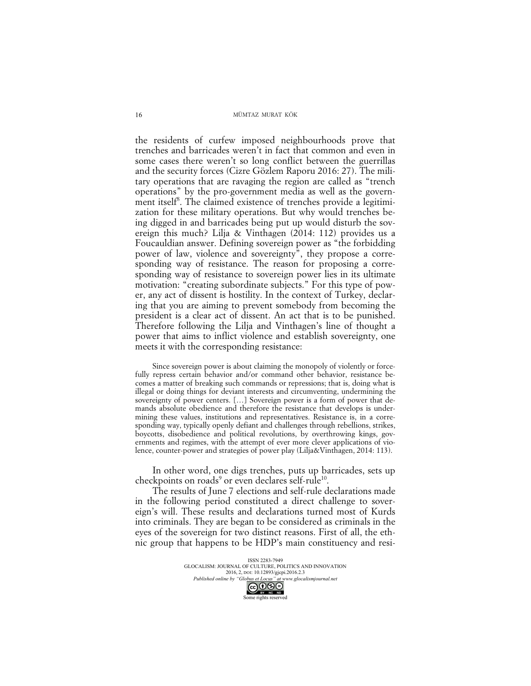the residents of curfew imposed neighbourhoods prove that trenches and barricades weren't in fact that common and even in some cases there weren't so long conflict between the guerrillas and the security forces (Cizre Gözlem Raporu 2016: 27). The military operations that are ravaging the region are called as "trench operations" by the pro-government media as well as the government itself<sup>8</sup>. The claimed existence of trenches provide a legitimization for these military operations. But why would trenches being digged in and barricades being put up would disturb the sovereign this much? Lilja & Vinthagen (2014: 112) provides us a Foucauldian answer. Defining sovereign power as "the forbidding power of law, violence and sovereignty", they propose a corresponding way of resistance. The reason for proposing a corresponding way of resistance to sovereign power lies in its ultimate motivation: "creating subordinate subjects." For this type of power, any act of dissent is hostility. In the context of Turkey, declaring that you are aiming to prevent somebody from becoming the president is a clear act of dissent. An act that is to be punished. Therefore following the Lilja and Vinthagen's line of thought a power that aims to inflict violence and establish sovereignty, one meets it with the corresponding resistance:

Since sovereign power is about claiming the monopoly of violently or forcefully repress certain behavior and/or command other behavior, resistance becomes a matter of breaking such commands or repressions; that is, doing what is illegal or doing things for deviant interests and circumventing, undermining the sovereignty of power centers. […] Sovereign power is a form of power that demands absolute obedience and therefore the resistance that develops is undermining these values, institutions and representatives. Resistance is, in a corresponding way, typically openly defiant and challenges through rebellions, strikes, boycotts, disobedience and political revolutions, by overthrowing kings, governments and regimes, with the attempt of ever more clever applications of violence, counter-power and strategies of power play (Lilja&Vinthagen, 2014: 113).

In other word, one digs trenches, puts up barricades, sets up checkpoints on roads<sup>9</sup> or even declares self-rule<sup>10</sup>.

The results of June 7 elections and self-rule declarations made in the following period constituted a direct challenge to sovereign's will. These results and declarations turned most of Kurds into criminals. They are began to be considered as criminals in the eyes of the sovereign for two distinct reasons. First of all, the ethnic group that happens to be HDP's main constituency and resi-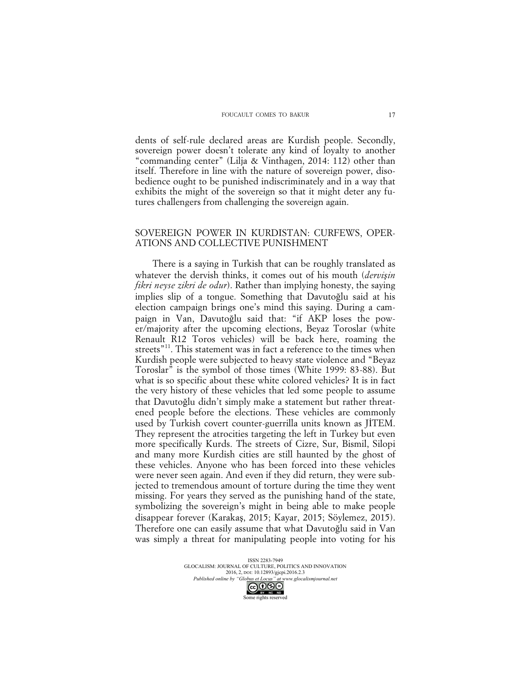dents of self-rule declared areas are Kurdish people. Secondly, sovereign power doesn't tolerate any kind of loyalty to another "commanding center" (Lilja & Vinthagen, 2014: 112) other than itself. Therefore in line with the nature of sovereign power, disobedience ought to be punished indiscriminately and in a way that exhibits the might of the sovereign so that it might deter any futures challengers from challenging the sovereign again.

## SOVEREIGN POWER IN KURDISTAN: CURFEWS, OPER-ATIONS AND COLLECTIVE PUNISHMENT

There is a saying in Turkish that can be roughly translated as whatever the dervish thinks, it comes out of his mouth (*dervişin fikri neyse zikri de odur*). Rather than implying honesty, the saying implies slip of a tongue. Something that Davutoğlu said at his election campaign brings one's mind this saying. During a campaign in Van, Davutoğlu said that: "if AKP loses the power/majority after the upcoming elections, Beyaz Toroslar (white Renault R12 Toros vehicles) will be back here, roaming the streets<sup>"11</sup>. This statement was in fact a reference to the times when Kurdish people were subjected to heavy state violence and "Beyaz Toroslar" is the symbol of those times (White 1999: 83-88). But what is so specific about these white colored vehicles? It is in fact the very history of these vehicles that led some people to assume that Davutoğlu didn't simply make a statement but rather threatened people before the elections. These vehicles are commonly used by Turkish covert counter-guerrilla units known as JİTEM. They represent the atrocities targeting the left in Turkey but even more specifically Kurds. The streets of Cizre, Sur, Bismil, Silopi and many more Kurdish cities are still haunted by the ghost of these vehicles. Anyone who has been forced into these vehicles were never seen again. And even if they did return, they were subjected to tremendous amount of torture during the time they went missing. For years they served as the punishing hand of the state, symbolizing the sovereign's might in being able to make people disappear forever (Karakaş, 2015; Kayar, 2015; Söylemez, 2015). Therefore one can easily assume that what Davutoğlu said in Van was simply a threat for manipulating people into voting for his

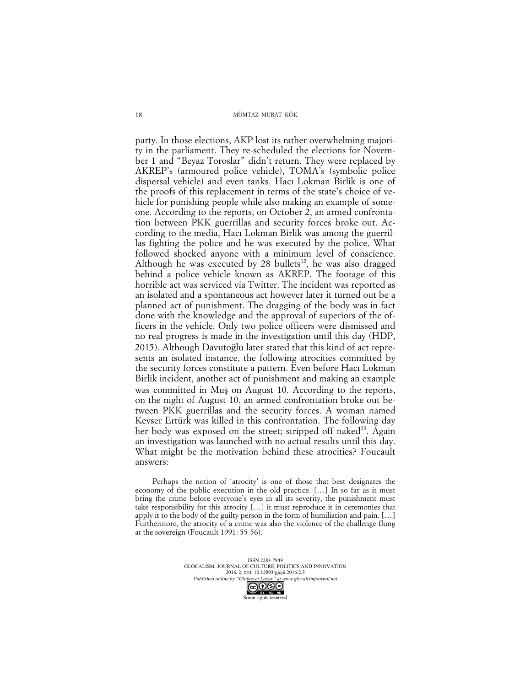party. In those elections, AKP lost its rather overwhelming majority in the parliament. They re-scheduled the elections for November 1 and "Beyaz Toroslar" didn't return. They were replaced by AKREP's (armoured police vehicle), TOMA's (symbolic police dispersal vehicle) and even tanks. Hacı Lokman Birlik is one of the proofs of this replacement in terms of the state's choice of vehicle for punishing people while also making an example of someone. According to the reports, on October 2, an armed confrontation between PKK guerrillas and security forces broke out. According to the media, Hacı Lokman Birlik was among the guerrillas fighting the police and he was executed by the police. What followed shocked anyone with a minimum level of conscience. Although he was executed by 28 bullets<sup>12</sup>, he was also dragged behind a police vehicle known as AKREP. The footage of this horrible act was serviced via Twitter. The incident was reported as an isolated and a spontaneous act however later it turned out be a planned act of punishment. The dragging of the body was in fact done with the knowledge and the approval of superiors of the officers in the vehicle. Only two police officers were dismissed and no real progress is made in the investigation until this day (HDP, 2015). Although Davutoğlu later stated that this kind of act represents an isolated instance, the following atrocities committed by the security forces constitute a pattern. Even before Hacı Lokman Birlik incident, another act of punishment and making an example was committed in Muş on August 10. According to the reports, on the night of August 10, an armed confrontation broke out between PKK guerrillas and the security forces. A woman named Kevser Ertürk was killed in this confrontation. The following day her body was exposed on the street; stripped off naked<sup>13</sup>. Again an investigation was launched with no actual results until this day. What might be the motivation behind these atrocities? Foucault answers:

Perhaps the notion of 'atrocity' is one of those that best designates the economy of the public execution in the old practice. […] In so far as it must bring the crime before everyone's eyes in all its severity, the punishment must take responsibility for this atrocity […] it must reproduce it in ceremonies that apply it to the body of the guilty person in the form of humiliation and pain. […] Furthermore, the atrocity of a crime was also the violence of the challenge flung at the sovereign (Foucault 1991: 55-56).

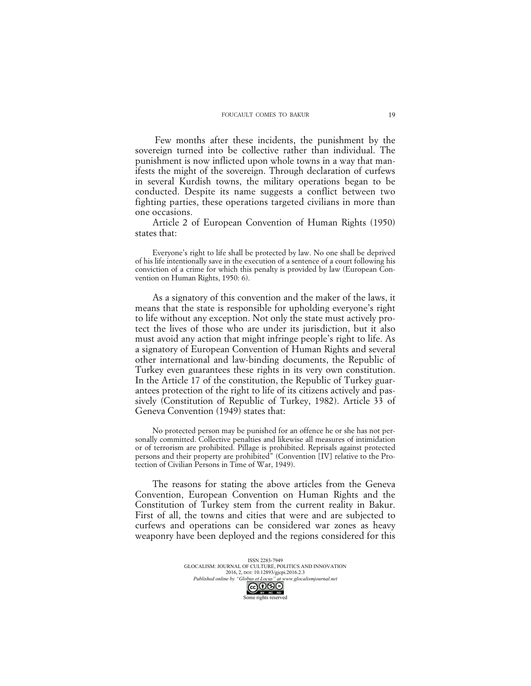Few months after these incidents, the punishment by the sovereign turned into be collective rather than individual. The punishment is now inflicted upon whole towns in a way that manifests the might of the sovereign. Through declaration of curfews in several Kurdish towns, the military operations began to be conducted. Despite its name suggests a conflict between two fighting parties, these operations targeted civilians in more than one occasions.

Article 2 of European Convention of Human Rights (1950) states that:

Everyone's right to life shall be protected by law. No one shall be deprived of his life intentionally save in the execution of a sentence of a court following his conviction of a crime for which this penalty is provided by law (European Convention on Human Rights, 1950: 6).

As a signatory of this convention and the maker of the laws, it means that the state is responsible for upholding everyone's right to life without any exception. Not only the state must actively protect the lives of those who are under its jurisdiction, but it also must avoid any action that might infringe people's right to life. As a signatory of European Convention of Human Rights and several other international and law-binding documents, the Republic of Turkey even guarantees these rights in its very own constitution. In the Article 17 of the constitution, the Republic of Turkey guarantees protection of the right to life of its citizens actively and passively (Constitution of Republic of Turkey, 1982). Article 33 of Geneva Convention (1949) states that:

No protected person may be punished for an offence he or she has not personally committed. Collective penalties and likewise all measures of intimidation or of terrorism are prohibited. Pillage is prohibited. Reprisals against protected persons and their property are prohibited" (Convention [IV] relative to the Protection of Civilian Persons in Time of War, 1949).

The reasons for stating the above articles from the Geneva Convention, European Convention on Human Rights and the Constitution of Turkey stem from the current reality in Bakur. First of all, the towns and cities that were and are subjected to curfews and operations can be considered war zones as heavy weaponry have been deployed and the regions considered for this

> ISSN 2283-7949 GLOCALISM: JOURNAL OF CULTURE, POLITICS AND INNOVATION 2016, 2, DOI: 10.12893/gjcpi.2016.2.3 *Published online by "Globus et Locus" at www.glocalismjournal.net*

> > Some rights reserved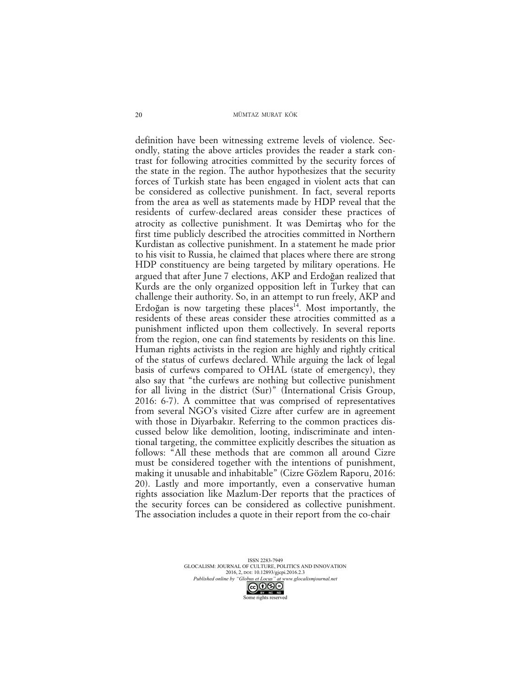definition have been witnessing extreme levels of violence. Secondly, stating the above articles provides the reader a stark contrast for following atrocities committed by the security forces of the state in the region. The author hypothesizes that the security forces of Turkish state has been engaged in violent acts that can be considered as collective punishment. In fact, several reports from the area as well as statements made by HDP reveal that the residents of curfew-declared areas consider these practices of atrocity as collective punishment. It was Demirtaş who for the first time publicly described the atrocities committed in Northern Kurdistan as collective punishment. In a statement he made prior to his visit to Russia, he claimed that places where there are strong HDP constituency are being targeted by military operations. He argued that after June 7 elections, AKP and Erdoğan realized that Kurds are the only organized opposition left in Turkey that can challenge their authority. So, in an attempt to run freely, AKP and Erdoğan is now targeting these places<sup>14</sup>. Most importantly, the residents of these areas consider these atrocities committed as a punishment inflicted upon them collectively. In several reports from the region, one can find statements by residents on this line. Human rights activists in the region are highly and rightly critical of the status of curfews declared. While arguing the lack of legal basis of curfews compared to OHAL (state of emergency), they also say that "the curfews are nothing but collective punishment for all living in the district (Sur)" (International Crisis Group, 2016: 6-7). A committee that was comprised of representatives from several NGO's visited Cizre after curfew are in agreement with those in Diyarbakır. Referring to the common practices discussed below like demolition, looting, indiscriminate and intentional targeting, the committee explicitly describes the situation as follows: "All these methods that are common all around Cizre must be considered together with the intentions of punishment, making it unusable and inhabitable" (Cizre Gözlem Raporu, 2016: 20). Lastly and more importantly, even a conservative human rights association like Mazlum-Der reports that the practices of the security forces can be considered as collective punishment. The association includes a quote in their report from the co-chair

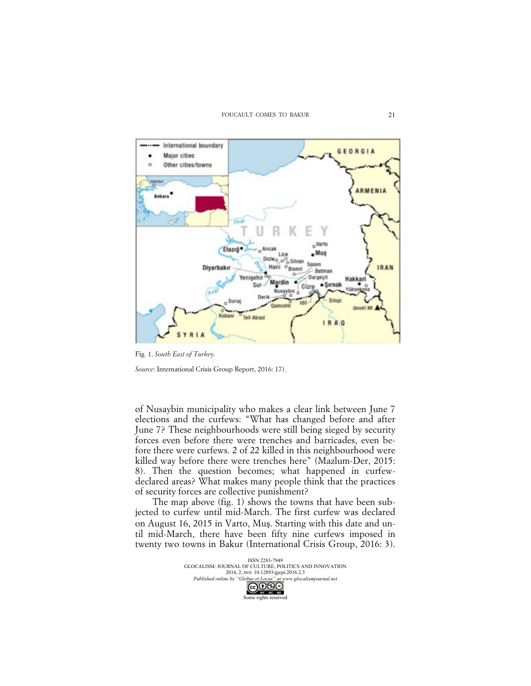

Fig. 1. *South East of Turkey*.

*Source*: International Crisis Group Report, 2016: 17).

of Nusaybin municipality who makes a clear link between June 7 elections and the curfews: "What has changed before and after June 7? These neighbourhoods were still being sieged by security forces even before there were trenches and barricades, even before there were curfews. 2 of 22 killed in this neighbourhood were killed way before there were trenches here" (Mazlum-Der, 2015: 8). Then the question becomes; what happened in curfewdeclared areas? What makes many people think that the practices of security forces are collective punishment?

The map above (fig. 1) shows the towns that have been subjected to curfew until mid-March. The first curfew was declared on August 16, 2015 in Varto, Muş. Starting with this date and until mid-March, there have been fifty nine curfews imposed in twenty two towns in Bakur (International Crisis Group, 2016: 3).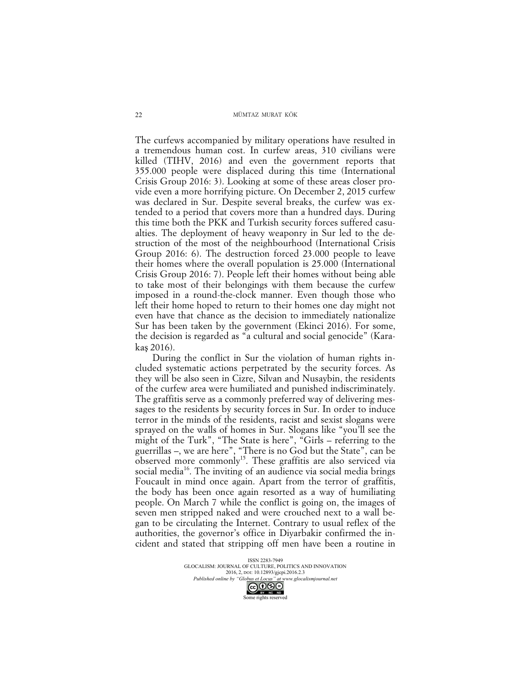The curfews accompanied by military operations have resulted in a tremendous human cost. In curfew areas, 310 civilians were killed (TIHV, 2016) and even the government reports that 355.000 people were displaced during this time (International Crisis Group 2016: 3). Looking at some of these areas closer provide even a more horrifying picture. On December 2, 2015 curfew was declared in Sur. Despite several breaks, the curfew was extended to a period that covers more than a hundred days. During this time both the PKK and Turkish security forces suffered casualties. The deployment of heavy weaponry in Sur led to the destruction of the most of the neighbourhood (International Crisis Group 2016: 6). The destruction forced 23.000 people to leave their homes where the overall population is 25.000 (International Crisis Group 2016: 7). People left their homes without being able to take most of their belongings with them because the curfew imposed in a round-the-clock manner. Even though those who left their home hoped to return to their homes one day might not even have that chance as the decision to immediately nationalize Sur has been taken by the government (Ekinci 2016). For some, the decision is regarded as "a cultural and social genocide" (Karakaş 2016).

During the conflict in Sur the violation of human rights included systematic actions perpetrated by the security forces. As they will be also seen in Cizre, Silvan and Nusaybin, the residents of the curfew area were humiliated and punished indiscriminately. The graffitis serve as a commonly preferred way of delivering messages to the residents by security forces in Sur. In order to induce terror in the minds of the residents, racist and sexist slogans were sprayed on the walls of homes in Sur. Slogans like "you'll see the might of the Turk", "The State is here", "Girls – referring to the guerrillas –, we are here", "There is no God but the State", can be  $\overline{\text{observed}}$  more commonly<sup>15</sup>. These graffitis are also serviced via social media<sup>16</sup>. The inviting of an audience via social media brings Foucault in mind once again. Apart from the terror of graffitis, the body has been once again resorted as a way of humiliating people. On March 7 while the conflict is going on, the images of seven men stripped naked and were crouched next to a wall began to be circulating the Internet. Contrary to usual reflex of the authorities, the governor's office in Diyarbakir confirmed the incident and stated that stripping off men have been a routine in

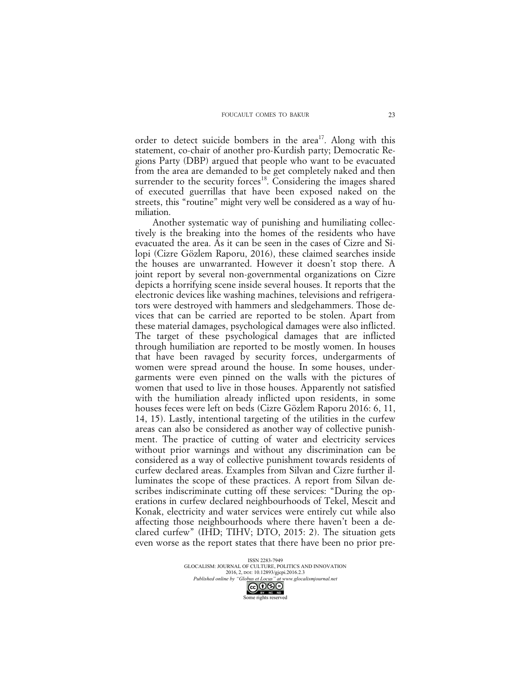order to detect suicide bombers in the area<sup>17</sup>. Along with this statement, co-chair of another pro-Kurdish party; Democratic Regions Party (DBP) argued that people who want to be evacuated from the area are demanded to be get completely naked and then surrender to the security forces<sup>18</sup>. Considering the images shared of executed guerrillas that have been exposed naked on the streets, this "routine" might very well be considered as a way of humiliation.

Another systematic way of punishing and humiliating collectively is the breaking into the homes of the residents who have evacuated the area. As it can be seen in the cases of Cizre and Silopi (Cizre Gözlem Raporu, 2016), these claimed searches inside the houses are unwarranted. However it doesn't stop there. A joint report by several non-governmental organizations on Cizre depicts a horrifying scene inside several houses. It reports that the electronic devices like washing machines, televisions and refrigerators were destroyed with hammers and sledgehammers. Those devices that can be carried are reported to be stolen. Apart from these material damages, psychological damages were also inflicted. The target of these psychological damages that are inflicted through humiliation are reported to be mostly women. In houses that have been ravaged by security forces, undergarments of women were spread around the house. In some houses, undergarments were even pinned on the walls with the pictures of women that used to live in those houses. Apparently not satisfied with the humiliation already inflicted upon residents, in some houses feces were left on beds (Cizre Gözlem Raporu 2016: 6, 11, 14, 15). Lastly, intentional targeting of the utilities in the curfew areas can also be considered as another way of collective punishment. The practice of cutting of water and electricity services without prior warnings and without any discrimination can be considered as a way of collective punishment towards residents of curfew declared areas. Examples from Silvan and Cizre further illuminates the scope of these practices. A report from Silvan describes indiscriminate cutting off these services: "During the operations in curfew declared neighbourhoods of Tekel, Mescit and Konak, electricity and water services were entirely cut while also affecting those neighbourhoods where there haven't been a declared curfew" (IHD; TIHV; DTO, 2015: 2). The situation gets even worse as the report states that there have been no prior pre-

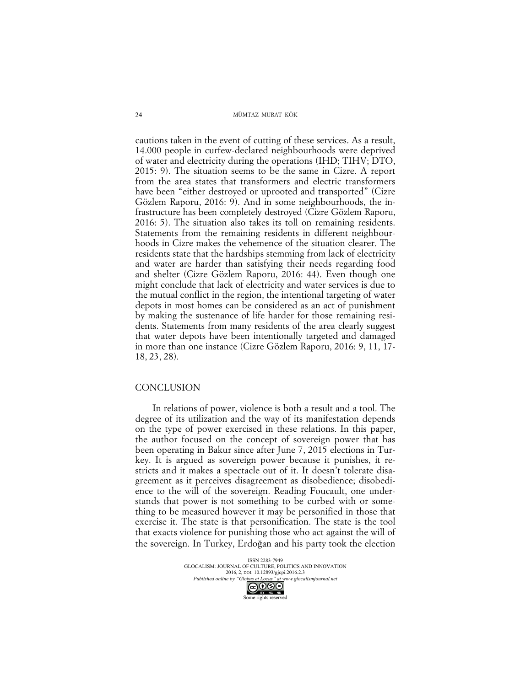cautions taken in the event of cutting of these services. As a result, 14.000 people in curfew-declared neighbourhoods were deprived of water and electricity during the operations (IHD; TIHV; DTO, 2015: 9). The situation seems to be the same in Cizre. A report from the area states that transformers and electric transformers have been "either destroyed or uprooted and transported" (Cizre Gözlem Raporu, 2016: 9). And in some neighbourhoods, the infrastructure has been completely destroyed (Cizre Gözlem Raporu, 2016: 5). The situation also takes its toll on remaining residents. Statements from the remaining residents in different neighbourhoods in Cizre makes the vehemence of the situation clearer. The residents state that the hardships stemming from lack of electricity and water are harder than satisfying their needs regarding food and shelter (Cizre Gözlem Raporu, 2016: 44). Even though one might conclude that lack of electricity and water services is due to the mutual conflict in the region, the intentional targeting of water depots in most homes can be considered as an act of punishment by making the sustenance of life harder for those remaining residents. Statements from many residents of the area clearly suggest that water depots have been intentionally targeted and damaged in more than one instance (Cizre Gözlem Raporu, 2016: 9, 11, 17- 18, 23, 28).

### **CONCLUSION**

In relations of power, violence is both a result and a tool. The degree of its utilization and the way of its manifestation depends on the type of power exercised in these relations. In this paper, the author focused on the concept of sovereign power that has been operating in Bakur since after June 7, 2015 elections in Turkey. It is argued as sovereign power because it punishes, it restricts and it makes a spectacle out of it. It doesn't tolerate disagreement as it perceives disagreement as disobedience; disobedience to the will of the sovereign. Reading Foucault, one understands that power is not something to be curbed with or something to be measured however it may be personified in those that exercise it. The state is that personification. The state is the tool that exacts violence for punishing those who act against the will of the sovereign. In Turkey, Erdoğan and his party took the election

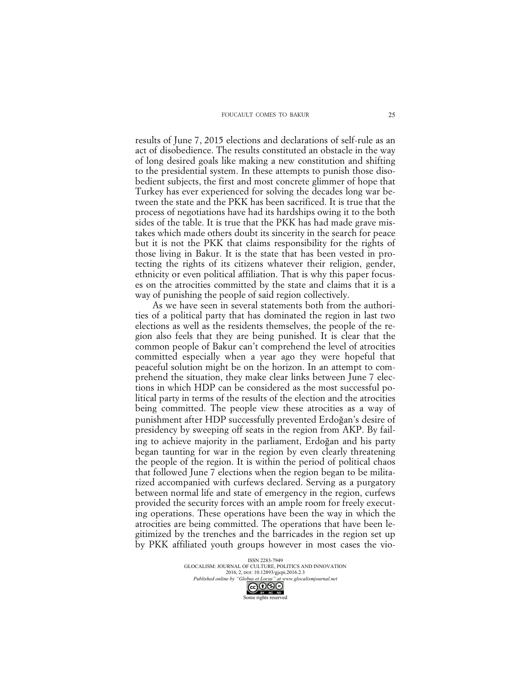results of June 7, 2015 elections and declarations of self-rule as an act of disobedience. The results constituted an obstacle in the way of long desired goals like making a new constitution and shifting to the presidential system. In these attempts to punish those disobedient subjects, the first and most concrete glimmer of hope that Turkey has ever experienced for solving the decades long war between the state and the PKK has been sacrificed. It is true that the process of negotiations have had its hardships owing it to the both sides of the table. It is true that the PKK has had made grave mistakes which made others doubt its sincerity in the search for peace but it is not the PKK that claims responsibility for the rights of those living in Bakur. It is the state that has been vested in protecting the rights of its citizens whatever their religion, gender, ethnicity or even political affiliation. That is why this paper focuses on the atrocities committed by the state and claims that it is a way of punishing the people of said region collectively.

As we have seen in several statements both from the authorities of a political party that has dominated the region in last two elections as well as the residents themselves, the people of the region also feels that they are being punished. It is clear that the common people of Bakur can't comprehend the level of atrocities committed especially when a year ago they were hopeful that peaceful solution might be on the horizon. In an attempt to comprehend the situation, they make clear links between June 7 elections in which HDP can be considered as the most successful political party in terms of the results of the election and the atrocities being committed. The people view these atrocities as a way of punishment after HDP successfully prevented Erdoğan's desire of presidency by sweeping off seats in the region from AKP. By failing to achieve majority in the parliament, Erdoğan and his party began taunting for war in the region by even clearly threatening the people of the region. It is within the period of political chaos that followed June 7 elections when the region began to be militarized accompanied with curfews declared. Serving as a purgatory between normal life and state of emergency in the region, curfews provided the security forces with an ample room for freely executing operations. These operations have been the way in which the atrocities are being committed. The operations that have been legitimized by the trenches and the barricades in the region set up by PKK affiliated youth groups however in most cases the vio-

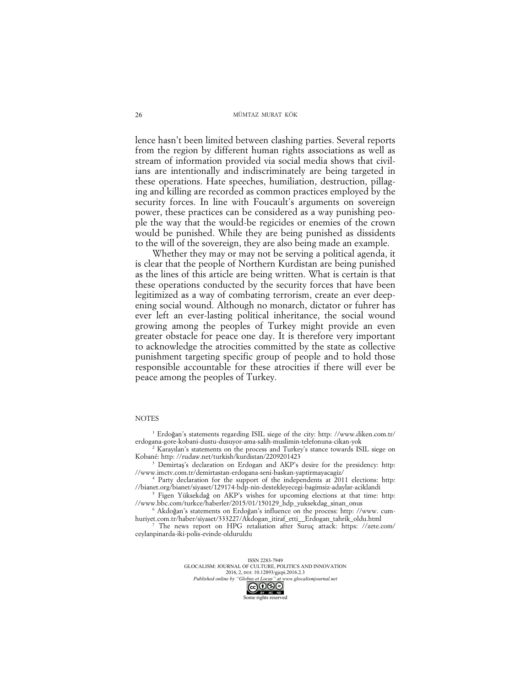lence hasn't been limited between clashing parties. Several reports from the region by different human rights associations as well as stream of information provided via social media shows that civilians are intentionally and indiscriminately are being targeted in these operations. Hate speeches, humiliation, destruction, pillaging and killing are recorded as common practices employed by the security forces. In line with Foucault's arguments on sovereign power, these practices can be considered as a way punishing people the way that the would-be regicides or enemies of the crown would be punished. While they are being punished as dissidents to the will of the sovereign, they are also being made an example.

Whether they may or may not be serving a political agenda, it is clear that the people of Northern Kurdistan are being punished as the lines of this article are being written. What is certain is that these operations conducted by the security forces that have been legitimized as a way of combating terrorism, create an ever deepening social wound. Although no monarch, dictator or fuhrer has ever left an ever-lasting political inheritance, the social wound growing among the peoples of Turkey might provide an even greater obstacle for peace one day. It is therefore very important to acknowledge the atrocities committed by the state as collective punishment targeting specific group of people and to hold those responsible accountable for these atrocities if there will ever be peace among the peoples of Turkey.

### **NOTES**

<sup>1</sup> Erdoğan's statements regarding ISIL siege of the city: http: //www.diken.com.tr/ erdogana-gore-kobani-dustu-dusuyor-ama-salih-muslimin-telefonuna-cikan-yok

Karayılan's statements on the process and Turkey's stance towards ISIL siege on Kobané: http: //rudaw.net/turkish/kurdistan/2209201423

<sup>3</sup> Demirtaş's declaration on Erdogan and AKP's desire for the presidency: http: //www.imctv.com.tr/demirtastan-erdogana-seni-baskan-yaptirmayacagiz/

Party declaration for the support of the independents at 2011 elections: http: //bianet.org/bianet/siyaset/129174-bdp-nin-destekleyecegi-bagimsiz-adaylar-aciklandi <sup>5</sup> Figen Yüksekdağ on AKP's wishes for upcoming elections at that time: http:

//www.bbc.com/turkce/haberler/2015/01/150129\_hdp\_yuksekdag\_sinan\_onus <sup>6</sup> Akdoğan's statements on Erdoğan's influence on the process: http: //www. cum-

huriyet.com.tr/haber/siyaset/333227/Akdogan\_itiraf\_etti\_\_Erdogan\_tahrik\_oldu.html

The news report on HPG retaliation after Suruç attack: https: //zete.com/ ceylanpinarda-iki-polis-evinde-olduruldu

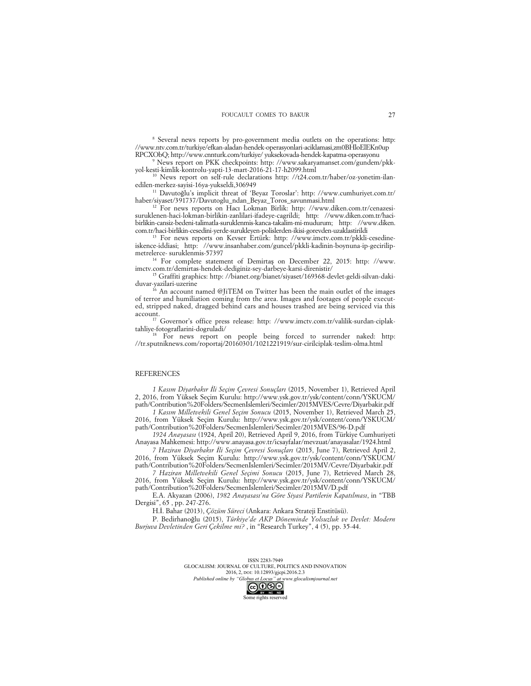<sup>8</sup> Several news reports by pro-government media outlets on the operations: http: //www.ntv.com.tr/turkiye/efkan-aladan-hendek-operasyonlari-aciklamasi,zm0BHloElEKn0up RPCXObQ; http://www.cnnturk.com/turkiye/ yuksekovada-hendek-kapatma-operasyonu

<sup>9</sup> News report on PKK checkpoints: http: //www.sakaryamanset.com/gundem/pkkyol-kesti-kimlik-kontrolu-yapti-13-mart-2016-21-17-h2099.html

<sup>10</sup> News report on self-rule declarations http: //t24.com.tr/haber/oz-yonetim-ilanedilen-merkez-sayisi-16ya-yukseldi,306949

<sup>11</sup> Davutoğlu's implicit threat of 'Beyaz Toroslar': http: //www.cumhuriyet.com.tr/ haber/siyaset/391737/Davutoglu\_ndan\_Beyaz\_Toros\_savunmasi.html

<sup>12</sup> For news reports on Hacı Lokman Birlik: http: //www.diken.com.tr/cenazesisuruklenen-haci-lokman-birlikin-zanlilari-ifadeye-cagrildi; http: //www.diken.com.tr/hacibirlikin-cansiz-bedeni-talimatla-suruklenmis-kanca-takalim-mi-mudurum; http: //www.diken. com.tr/haci-birlikin-cesedini-yerde-surukleyen-polislerden-ikisi-gorevden-uzaklastirildi

<sup>13</sup> For news reports on Kevser Ertürk: http: //www.imctv.com.tr/pkkli-cesedineiskence-iddiasi; http: //www.insanhaber.com/guncel/pkkli-kadinin-boynuna-ip-gecirilipmetrelerce- suruklenmis-57397

<sup>14</sup> For complete statement of Demirtaş on December 22, 2015: http: //www. imctv.com.tr/demirtas-hendek-dediginiz-sey-darbeye-karsi-direnistir/

<sup>15</sup> Graffiti graphics: http: //bianet.org/bianet/siyaset/169368-devlet-geldi-silvan-dakiduvar-yazilari-uzerine

<sup>16</sup> An account named @JiTEM on Twitter has been the main outlet of the images of terror and humiliation coming from the area. Images and footages of people executed, stripped naked, dragged behind cars and houses trashed are being serviced via this account.

<sup>17</sup> Governor's office press release: http: //www.imctv.com.tr/valilik-surdan-ciplaktahliye-fotograflarini-dogruladi/

For news report on people being forced to surrender naked: http: //tr.sputniknews.com/roportaj/20160301/1021221919/sur-cirilciplak-teslim-olma.html

### **REFERENCES**

*1 Kasım Diyarbakır İli Seçim Çevresi Sonuçları* (2015, November 1), Retrieved April 2, 2016, from Yüksek Seçim Kurulu: http://www.ysk.gov.tr/ysk/content/conn/YSKUCM/ path/Contribution%20Folders/SecmenIslemleri/Secimler/2015MVES/Cevre/Diyarbakir.pdf

*1 Kasım Milletvekili Genel Seçim Sonucu* (2015, November 1), Retrieved March 25, 2016, from Yüksek Seçim Kurulu: http://www.ysk.gov.tr/ysk/content/conn/YSKUCM/ path/Contribution%20Folders/SecmenIslemleri/Secimler/2015MVES/96-D.pdf

*1924 Anayasası* (1924, April 20), Retrieved April 9, 2016, from Türkiye Cumhuriyeti Anayasa Mahkemesi: http://www.anayasa.gov.tr/icsayfalar/mevzuat/anayasalar/1924.html

*7 Haziran Diyarbakır İli Seçim Çevresi Sonuçları* (2015, June 7), Retrieved April 2, 2016, from Yüksek Seçim Kurulu: http://www.ysk.gov.tr/ysk/content/conn/YSKUCM/ path/Contribution%20Folders/SecmenIslemleri/Secimler/2015MV/Cevre/Diyarbakir.pdf

*7 Haziran Milletvekili Genel Seçimi Sonucu* (2015, June 7), Retrieved March 28, 2016, from Yüksek Seçim Kurulu: http://www.ysk.gov.tr/ysk/content/conn/YSKUCM/ path/Contribution%20Folders/SecmenIslemleri/Secimler/2015MV/D.pdf

E.A. Akyazan (2006), *1982 Anayasası'na Göre Siyasi Partilerin Kapatılması*, in "TBB Dergisi", 65 , pp. 247-276.

H.İ. Bahar (2013), *Çözüm Süreci* (Ankara: Ankara Strateji Enstitüsü).

P. Bedirhanoğlu (2015), *Türkiye'de AKP Döneminde Yolsuzluk ve Devlet: Modern Burjuva Devletinden Geri Çekilme mi?* , in "Research Turkey", 4 (5), pp. 35-44.

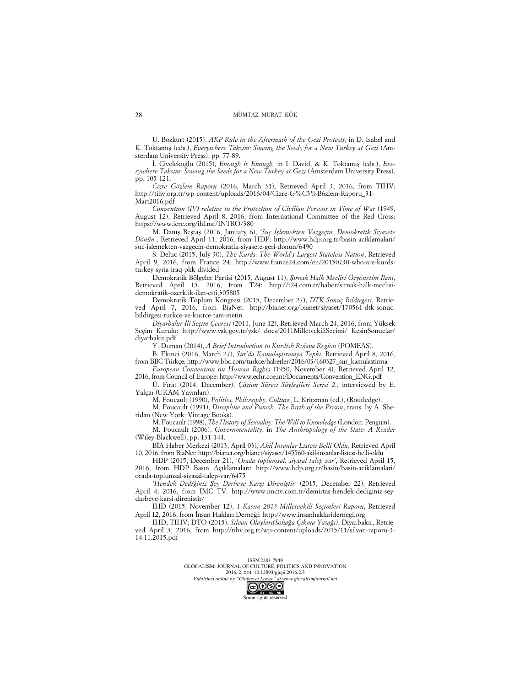U. Bozkurt (2015), *AKP Rule in the Aftermath of the Gezi Protests*, in D. Isabel and K. Toktamış (eds.), *Everywhere Taksim: Sowing the Seeds for a New Turkey at Gezi* (Amsterdam University Press), pp. 77-89.

İ. Civelekoğlu (2015), *Enough is Enough,* in I. David, & K. Toktamış (eds.), *Everywhere Taksim: Sowing the Seeds for a New Turkey at Gezi* (Amsterdam University Press), pp. 105-121.

*Cizre Gözlem Raporu* (2016, March 31), Retrieved April 3, 2016, from TIHV: http://tihv.org.tr/wp-content/uploads/2016/04/Cizre-G%C3%B6zlem-Raporu\_31- Mart2016.pdf

*Convention (IV) relative to the Protection of Civilian Persons in Time of War* (1949, August 12), Retrieved April 8, 2016, from International Committee of the Red Cross: https://www.icrc.org/ihl.nsf/INTRO/380

M. Danış Beştaş (2016, January 6), *'Suç İşlemekten Vazgeçin, Demokratik Siyasete Dönün'*, Retrieved April 11, 2016, from HDP: http://www.hdp.org.tr/basin-aciklamalari/ suc-islemekten-vazgecin-demokratik-siyasete-geri-donun/6490

S. Deluc (2015, July 30), *The Kurds: The World's Largest Stateless Nation*, Retrieved April 9, 2016, from France 24: http://www.france24.com/en/20150730-who-are-kurdsturkey-syria-iraq-pkk-divided

Demokratik Bölgeler Partisi (2015, August 11), *Şırnak Halk Meclisi Özyönetim İlanı*, Retrieved April 15, 2016, from T24: http://t24.com.tr/haber/sirnak-halk-meclisidemokratik-ozerklik-ilan-etti,305805

Demokratik Toplum Kongresi (2015, December 27), *DTK Sonuç Bildirgesi*, Retrieved April 7, 2016, from BiaNet: http://bianet.org/bianet/siyaset/170561-dtk-sonucbildirgesi-turkce-ve-kurtce-tam-metin

*Diyarbakır İli Seçim Çevresi* (2011, June 12), Retrieved March 24, 2016, from Yüksek Seçim Kurulu: http://www.ysk.gov.tr/ysk/ docs/2011MilletvekiliSecimi/ KesinSonuclar/ diyarbakir.pdf

Y. Duman (2014), *A Brief Introduction to Kurdish Rojava Region* (POMEAS).

B. Ekinci (2016, March 27), *Sur'da Kamulaştırmaya Tepki*, Retrieved April 8, 2016, from BBC Türkçe: http://www.bbc.com/turkce/haberler/2016/03/160327\_sur\_kamulastirma

*European Convention on Human Rights* (1950, November 4), Retrieved April 12, 2016, from Council of Europe: http://www.echr.coe.int/Documents/Convention\_ENG.pdf

Ü. Fırat (2014, December), *Çözüm Süreci Söyleşileri Serisi 2.*, interviewed by E. Yalçın (UKAM Yayınları).

M. Foucault (1990), *Politics, Philosophy, Culture*, L. Kritzman (ed.), (Routledge).

M. Foucault (1991), *Discipline and Punish: The Birth of the Prison*, trans. by A. Sheridan (New York: Vintage Books).

M. Foucault (1998), *The History of Sexuality: The Will to Knowledge* (London: Penguin).

M. Foucault (2006), *Governmentality*, in *The Anthropology of the State: A Reader* (Wiley-Blackwell), pp. 131-144.

BİA Haber Merkezi (2013, April 03), *Akil İnsanlar Listesi Belli Oldu*, Retrieved April 10, 2016, from BiaNet: http://bianet.org/bianet/siyaset/145560-akil-insanlar-listesi-belli-oldu

HDP (2015, December 21), *'Orada toplumsal, siyasal talep var'*, Retrieved April 15, 2016, from HDP Basın Açıklamaları: http://www.hdp.org.tr/basin/basin-aciklamalari/ orada-toplumsal-siyasal-talep-var/6475

*'Hendek Dediğiniz Şey Darbeye Karşı Direniştir'* (2015, December 22), Retrieved April 4, 2016, from IMC TV: http://www.imctv.com.tr/demirtas-hendek-dediginiz-seydarbeye-karsi-direnistir/

IHD (2015, November 12), *1 Kasım 2015 Milletvekili Seçimleri Raporu*, Retrieved April 12, 2016, from İnsan Hakları Derneği: http://www.insanhaklaridernegi.org

IHD; TIHV; DTO (2015), *Silvan Olayları(Sokağa Çıkma Yasağı)*, Diyarbakır, Retrieved April 3, 2016, from http://tihv.org.tr/wp-content/uploads/2015/11/silvan-raporu-3- 14.11.2015.pdf

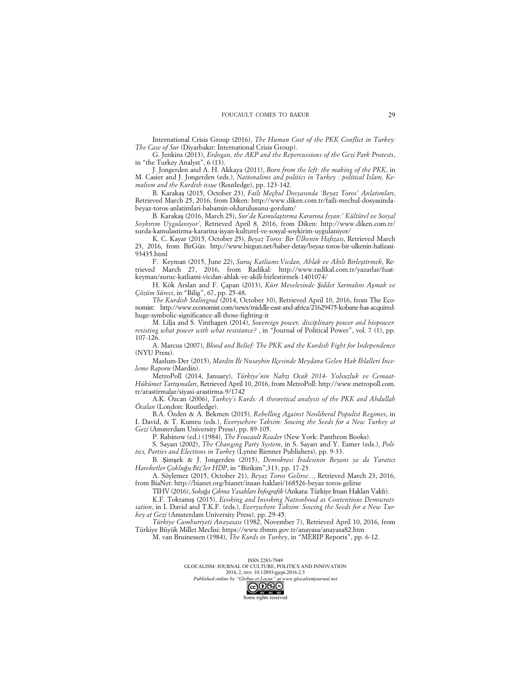International Crisis Group (2016), *The Human Cost of the PKK Conflict in Turkey: The Case of Sur* (Diyarbakır: International Crisis Group).

G. Jenkins (2013), *Erdogan, the AKP and the Repercussions of the Gezi Park Protests*, in "the Turkey Analyst", 6 (13).

J. Jongerden and A. H. Akkaya (2011), *Born from the left: the making of the PKK*, in M. Casier and J. Jongerden (eds.), *Nationalims and politics in Turkey : political Islam, Kemalism and the Kurdish issue* (Routledge), pp. 123-142.

B. Karakaş (2015, October 23), *Faili Meçhul Dosyasında 'Beyaz Toros' Anlatımları*, Retrieved March 25, 2016, from Diken: http://www.diken.com.tr/faili-mechul-dosyasindabeyaz-toros-anlatimlari-babamin-oldurulusunu-gordum/

B. Karakaş (2016, March 25), *Sur'da Kamulaştırma Kararına İsyan:' Kültürel ve Sosyal Soykırım Uygulanıyor'*, Retrieved April 8, 2016, from Diken: http://www.diken.com.tr/ surda-kamulastirma-kararina-isyan-kulturel-ve-sosyal-soykirim-uygulaniyor/

K. C. Kayar (2015, October 25), *Beyaz Toros: Bir Ülkenin Hafızası*, Retrieved March 2016, from BirGün: http://www.birgun.net/haber-detay/beyaz-toros-bir-ulkenin-hafizasi-93435.html

F. Keyman (2015, June 22), *Suruç Katliamı:Vicdan, Ahlak ve Akılı Birleştirmek*, Retrieved March 27, 2016, from Radikal: http://www.radikal.com.tr/yazarlar/fuatkeyman/suruc-katliami-vicdan-ahlak-ve-akili-birlestirmek-1401074/

H. Kök Arslan and F. Çapan (2013), *Kürt Meselesinde Şiddet Sarmalını Aşmak ve Çözüm Süreci*, in "Bilig", 67, pp. 25-48.

*The Kurdish Stalingrad* (2014, October 30), Retrieved April 10, 2016, from The Economist: http://www.economist.com/news/middle-east-and-africa/21629475-kobane-has-acquiredhuge-symbolic-significance-all-those-fighting-it

M. Lilja and S. Vinthagen (2014), *Sovereign power, disciplinary power and biopower: resisting what power with what resistance?* , in "Journal of Political Power", vol. 7 (1), pp. 107-126.

A. Marcus (2007), *Blood and Belief: The PKK and the Kurdish Fight for Independence* (NYU Press).

Mazlum-Der (2015), *Mardin İli Nusaybin İlçesinde Meydana Gelen Hak İhlalleri İnceleme Raporu* (Mardin).

MetroPoll (2014, January), *Türkiye'nin Nabzı Ocak 2014- Yolsuzluk ve Cemaat-Hükümet Tartışmaları*, Retrieved April 10, 2016, from MetroPoll: http://www.metropoll.com. tr/arastirmalar/siyasi-arastirma-9/1742

A.K. Özcan (2006), *Turkey's Kurds: A theoretical analysis of the PKK and Abdullah Öcalan* (London: Routledge).

B.A. Özden & A. Bekmen (2015), *Rebelling Against Neoliberal Populist Regimes*, in I. David, & T. Kumru (eds.), *Everywhere Taksim: Sowing the Seeds for a New Turkey at Gezi* (Amsterdam University Press), pp. 89-105.

P. Rabinow (ed.) (1984), *The Foucault Reader* (New York: Pantheon Books).

S. Sayarı (2002), *The Changing Party System*, in S. Sayarı and Y. Esmer (eds.), *Politics, Parties and Elections in Turkey* (Lynne Rienner Publishers), pp. 9-33.

B. Şimşek & J. Jongerden (2015), *Demokrasi İradesinin Beyanı ya da Yaratıcı Hareketler Çokluğu:Biz'ler HDP*, in "Birikim",313, pp. 17-23.

A. Söylemez (2015, October 21), *Beyaz Toros Gelirse...*, Retrieved March 23, 2016, from BiaNet: http://bianet.org/bianet/insan-haklari/168526-beyaz-toros-gelirse

TIHV (2016), *Sokağa Çıkma Yasakları İnfografik* (Ankara: Türkiye İnsan Hakları Vakfı).

K.F. Toktamış (2015), *Evoking and Invoking Nationhood as Contentious Democratisation*, in I. David and T.K.F. (eds.), *Everywhere Taksim: Sowing the Seeds for a New Turkey at Gezi* (Amsterdam University Press), pp. 29-45.

*Türkiye Cumhuriyeti Anayasası* (1982, November 7), Retrieved April 10, 2016, from Türkiye Büyük Millet Meclisi: https://www.tbmm.gov.tr/anayasa/anayasa82.htm

M. van Bruinessen (1984), *The Kurds in Turkey*, in "MERIP Reports", pp. 6-12.